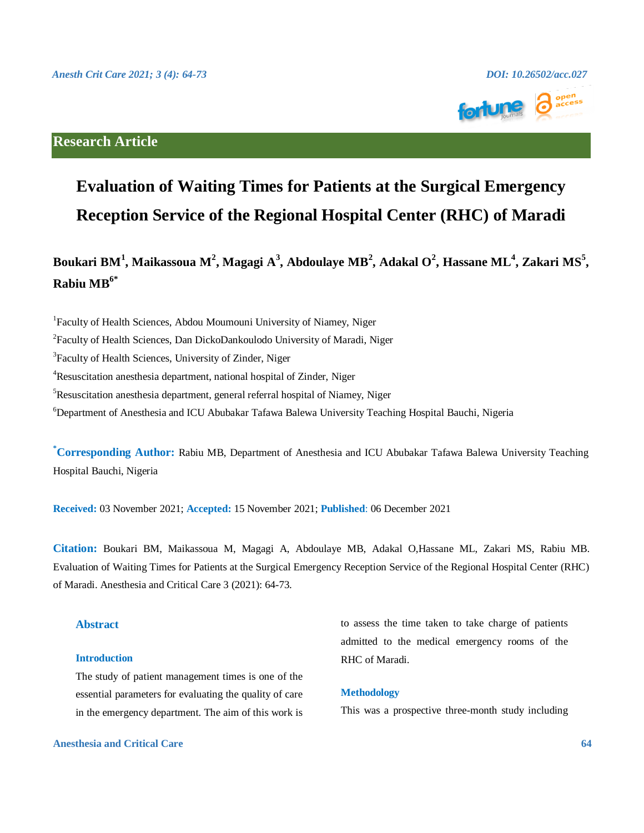

# **Research Article**

# **Evaluation of Waiting Times for Patients at the Surgical Emergency Reception Service of the Regional Hospital Center (RHC) of Maradi**

# **Boukari BM<sup>1</sup> , Maikassoua M<sup>2</sup> , Magagi A<sup>3</sup> , Abdoulaye MB 2 , Adakal O<sup>2</sup> , Hassane ML<sup>4</sup> , Zakari MS<sup>5</sup> , Rabiu MB6\***

<sup>1</sup>Faculty of Health Sciences, Abdou Moumouni University of Niamey, Niger

<sup>2</sup>Faculty of Health Sciences, Dan DickoDankoulodo University of Maradi, Niger

<sup>3</sup>Faculty of Health Sciences, University of Zinder, Niger

<sup>4</sup>Resuscitation anesthesia department, national hospital of Zinder, Niger

 ${}^{5}$ Resuscitation anesthesia department, general referral hospital of Niamey, Niger

<sup>6</sup>Department of Anesthesia and ICU Abubakar Tafawa Balewa University Teaching Hospital Bauchi, Nigeria

**\*Corresponding Author:** Rabiu MB, Department of Anesthesia and ICU Abubakar Tafawa Balewa University Teaching Hospital Bauchi, Nigeria

**Received:** 03 November 2021; **Accepted:** 15 November 2021; **Published**: 06 December 2021

**Citation:** Boukari BM, Maikassoua M, Magagi A, Abdoulaye MB, Adakal O,Hassane ML, Zakari MS, Rabiu MB. Evaluation of Waiting Times for Patients at the Surgical Emergency Reception Service of the Regional Hospital Center (RHC) of Maradi. Anesthesia and Critical Care 3 (2021): 64-73.

### **Abstract**

#### **Introduction**

The study of patient management times is one of the essential parameters for evaluating the quality of care in the emergency department. The aim of this work is

**Anesthesia and Critical Care 64**

to assess the time taken to take charge of patients admitted to the medical emergency rooms of the RHC of Maradi.

### **Methodology**

This was a prospective three-month study including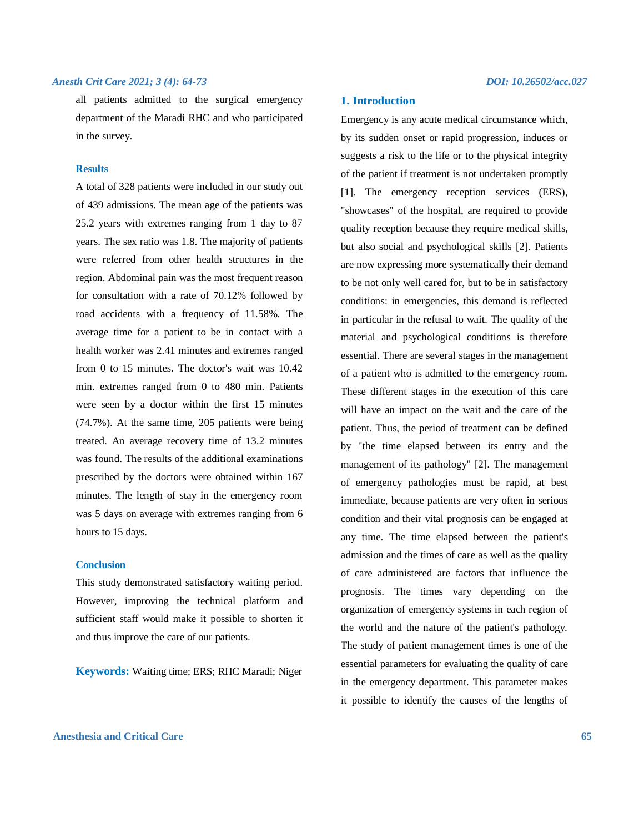all patients admitted to the surgical emergency department of the Maradi RHC and who participated in the survey.

#### **Results**

A total of 328 patients were included in our study out of 439 admissions. The mean age of the patients was 25.2 years with extremes ranging from 1 day to 87 years. The sex ratio was 1.8. The majority of patients were referred from other health structures in the region. Abdominal pain was the most frequent reason for consultation with a rate of 70.12% followed by road accidents with a frequency of 11.58%. The average time for a patient to be in contact with a health worker was 2.41 minutes and extremes ranged from 0 to 15 minutes. The doctor's wait was 10.42 min. extremes ranged from 0 to 480 min. Patients were seen by a doctor within the first 15 minutes (74.7%). At the same time, 205 patients were being treated. An average recovery time of 13.2 minutes was found. The results of the additional examinations prescribed by the doctors were obtained within 167 minutes. The length of stay in the emergency room was 5 days on average with extremes ranging from 6 hours to 15 days.

#### **Conclusion**

This study demonstrated satisfactory waiting period. However, improving the technical platform and sufficient staff would make it possible to shorten it and thus improve the care of our patients.

**Keywords:** Waiting time; ERS; RHC Maradi; Niger

#### **1. Introduction**

Emergency is any acute medical circumstance which, by its sudden onset or rapid progression, induces or suggests a risk to the life or to the physical integrity of the patient if treatment is not undertaken promptly [1]. The emergency reception services (ERS), "showcases" of the hospital, are required to provide quality reception because they require medical skills, but also social and psychological skills [2]. Patients are now expressing more systematically their demand to be not only well cared for, but to be in satisfactory conditions: in emergencies, this demand is reflected in particular in the refusal to wait. The quality of the material and psychological conditions is therefore essential. There are several stages in the management of a patient who is admitted to the emergency room. These different stages in the execution of this care will have an impact on the wait and the care of the patient. Thus, the period of treatment can be defined by "the time elapsed between its entry and the management of its pathology" [2]. The management of emergency pathologies must be rapid, at best immediate, because patients are very often in serious condition and their vital prognosis can be engaged at any time. The time elapsed between the patient's admission and the times of care as well as the quality of care administered are factors that influence the prognosis. The times vary depending on the organization of emergency systems in each region of the world and the nature of the patient's pathology. The study of patient management times is one of the essential parameters for evaluating the quality of care in the emergency department. This parameter makes it possible to identify the causes of the lengths of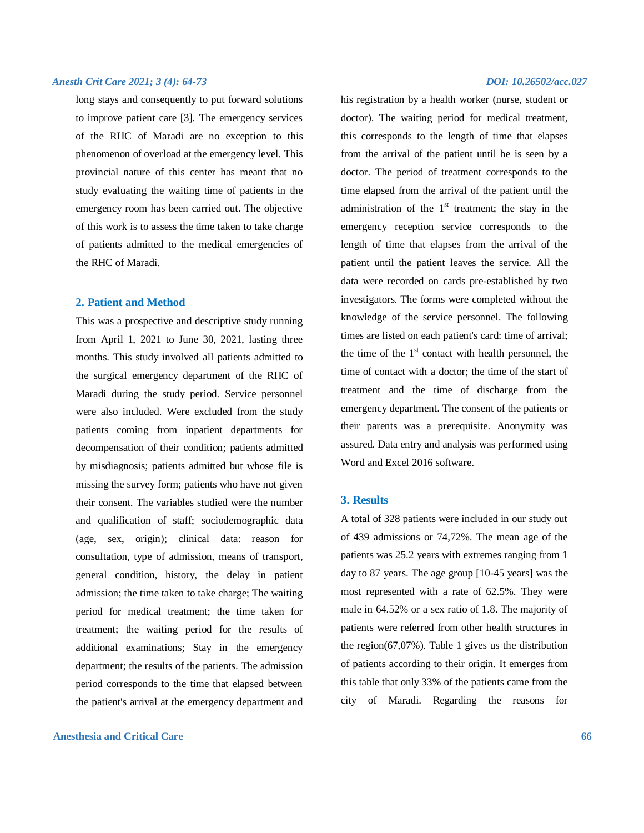long stays and consequently to put forward solutions to improve patient care [3]. The emergency services of the RHC of Maradi are no exception to this phenomenon of overload at the emergency level. This provincial nature of this center has meant that no study evaluating the waiting time of patients in the emergency room has been carried out. The objective of this work is to assess the time taken to take charge of patients admitted to the medical emergencies of the RHC of Maradi.

#### **2. Patient and Method**

This was a prospective and descriptive study running from April 1, 2021 to June 30, 2021, lasting three months. This study involved all patients admitted to the surgical emergency department of the RHC of Maradi during the study period. Service personnel were also included. Were excluded from the study patients coming from inpatient departments for decompensation of their condition; patients admitted by misdiagnosis; patients admitted but whose file is missing the survey form; patients who have not given their consent. The variables studied were the number and qualification of staff; sociodemographic data (age, sex, origin); clinical data: reason for consultation, type of admission, means of transport, general condition, history, the delay in patient admission; the time taken to take charge; The waiting period for medical treatment; the time taken for treatment; the waiting period for the results of additional examinations; Stay in the emergency department; the results of the patients. The admission period corresponds to the time that elapsed between the patient's arrival at the emergency department and

#### **Anesthesia and Critical Care 66**

his registration by a health worker (nurse, student or doctor). The waiting period for medical treatment, this corresponds to the length of time that elapses from the arrival of the patient until he is seen by a doctor. The period of treatment corresponds to the time elapsed from the arrival of the patient until the administration of the  $1<sup>st</sup>$  treatment; the stay in the emergency reception service corresponds to the length of time that elapses from the arrival of the patient until the patient leaves the service. All the data were recorded on cards pre-established by two investigators. The forms were completed without the knowledge of the service personnel. The following times are listed on each patient's card: time of arrival; the time of the  $1<sup>st</sup>$  contact with health personnel, the time of contact with a doctor; the time of the start of treatment and the time of discharge from the emergency department. The consent of the patients or their parents was a prerequisite. Anonymity was assured. Data entry and analysis was performed using Word and Excel 2016 software.

#### **3. Results**

A total of 328 patients were included in our study out of 439 admissions or 74,72%. The mean age of the patients was 25.2 years with extremes ranging from 1 day to 87 years. The age group [10-45 years] was the most represented with a rate of 62.5%. They were male in 64.52% or a sex ratio of 1.8. The majority of patients were referred from other health structures in the region(67,07%). Table 1 gives us the distribution of patients according to their origin. It emerges from this table that only 33% of the patients came from the city of Maradi. Regarding the reasons for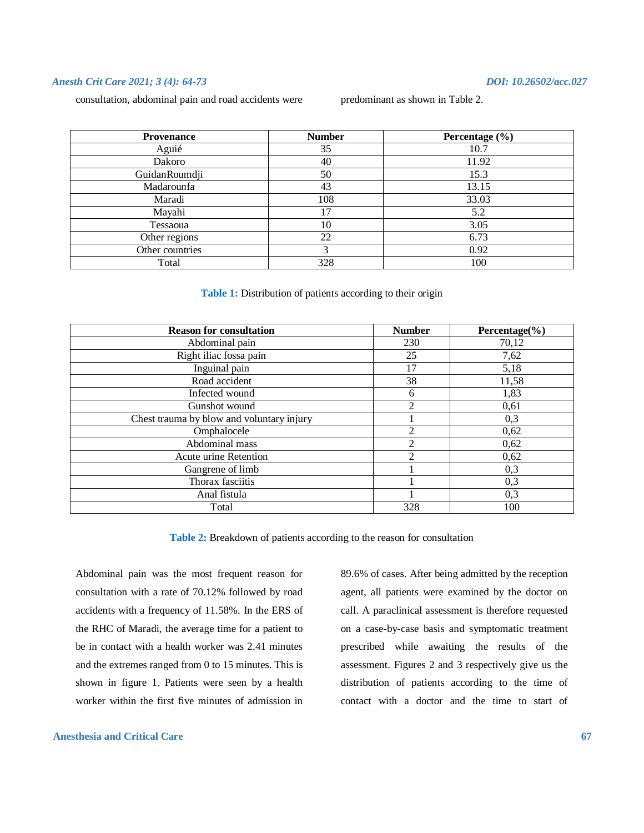consultation, abdominal pain and road accidents were

| predominant as shown in Table 2 |  |  |
|---------------------------------|--|--|
|---------------------------------|--|--|

| <b>Provenance</b> | <b>Number</b> | Percentage (%) |  |
|-------------------|---------------|----------------|--|
| Aguié             | 35            | 10.7           |  |
| Dakoro            | 40            | 11.92          |  |
| GuidanRoumdji     | 50            | 15.3           |  |
| Madarounfa        | 43            | 13.15          |  |
| Maradi            | 108           | 33.03          |  |
| Mayahi            | 17            | 5.2            |  |
| Tessaoua          | 10            | 3.05           |  |
| Other regions     | 22            | 6.73           |  |
| Other countries   | 3             | 0.92           |  |
| Total             | 328           | 100            |  |

#### **Table 1:** Distribution of patients according to their origin

| <b>Reason for consultation</b>            | <b>Number</b>  | Percentage $(\% )$ |
|-------------------------------------------|----------------|--------------------|
| Abdominal pain                            | 230            | 70,12              |
| Right iliac fossa pain                    | 25             | 7,62               |
| Inguinal pain                             | 17             | 5,18               |
| Road accident                             | 38             | 11,58              |
| Infected wound                            | 6              | 1,83               |
| Gunshot wound                             | $\overline{2}$ | 0,61               |
| Chest trauma by blow and voluntary injury |                | 0,3                |
| Omphalocele                               | 2              | 0,62               |
| Abdominal mass                            | $\overline{2}$ | 0,62               |
| Acute urine Retention                     | $\mathfrak{D}$ | 0,62               |
| Gangrene of limb                          |                | 0,3                |
| Thorax fasciitis                          |                | 0,3                |
| Anal fistula                              |                | 0,3                |
| Total                                     | 328            | 100                |

**Table 2:** Breakdown of patients according to the reason for consultation

Abdominal pain was the most frequent reason for consultation with a rate of 70.12% followed by road accidents with a frequency of 11.58%. In the ERS of the RHC of Maradi, the average time for a patient to be in contact with a health worker was 2.41 minutes and the extremes ranged from 0 to 15 minutes. This is shown in figure 1. Patients were seen by a health worker within the first five minutes of admission in

#### **Anesthesia and Critical Care 67**

89.6% of cases. After being admitted by the reception agent, all patients were examined by the doctor on call. A paraclinical assessment is therefore requested on a case-by-case basis and symptomatic treatment prescribed while awaiting the results of the assessment. Figures 2 and 3 respectively give us the distribution of patients according to the time of contact with a doctor and the time to start of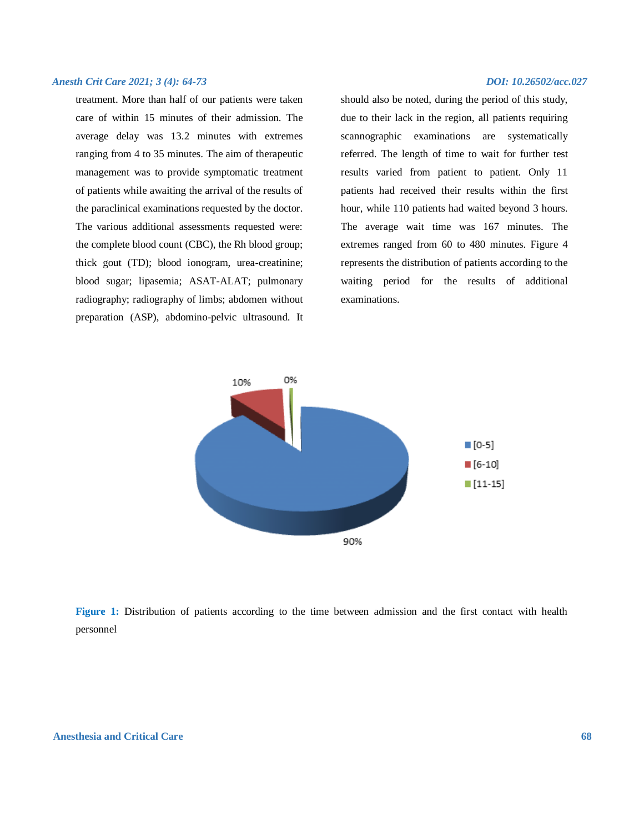treatment. More than half of our patients were taken care of within 15 minutes of their admission. The average delay was 13.2 minutes with extremes ranging from 4 to 35 minutes. The aim of therapeutic management was to provide symptomatic treatment of patients while awaiting the arrival of the results of the paraclinical examinations requested by the doctor. The various additional assessments requested were: the complete blood count (CBC), the Rh blood group; thick gout (TD); blood ionogram, urea-creatinine; blood sugar; lipasemia; ASAT-ALAT; pulmonary radiography; radiography of limbs; abdomen without preparation (ASP), abdomino-pelvic ultrasound. It

should also be noted, during the period of this study, due to their lack in the region, all patients requiring scannographic examinations are systematically referred. The length of time to wait for further test results varied from patient to patient. Only 11 patients had received their results within the first hour, while 110 patients had waited beyond 3 hours. The average wait time was 167 minutes. The extremes ranged from 60 to 480 minutes. Figure 4 represents the distribution of patients according to the waiting period for the results of additional examinations.



**Figure 1:** Distribution of patients according to the time between admission and the first contact with health personnel

#### **Anesthesia and Critical Care 68**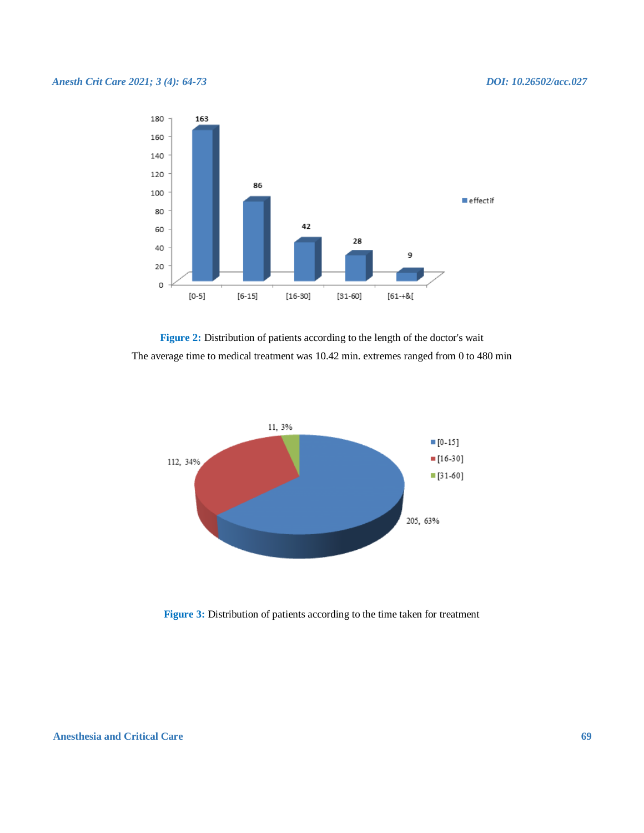

Figure 2: Distribution of patients according to the length of the doctor's wait The average time to medical treatment was 10.42 min. extremes ranged from 0 to 480 min



**Figure 3:** Distribution of patients according to the time taken for treatment

### **Anesthesia and Critical Care 69**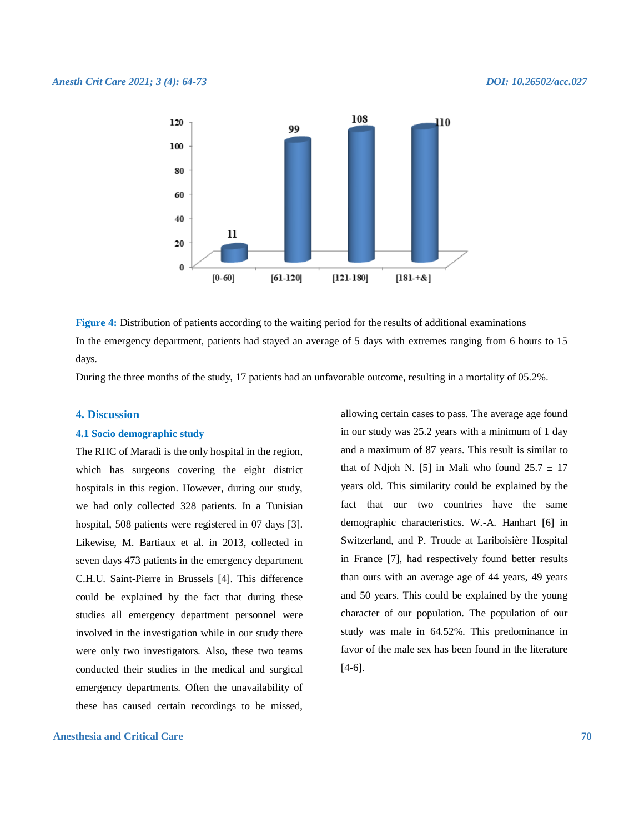

**Figure 4:** Distribution of patients according to the waiting period for the results of additional examinations In the emergency department, patients had stayed an average of 5 days with extremes ranging from 6 hours to 15 days.

During the three months of the study, 17 patients had an unfavorable outcome, resulting in a mortality of 05.2%.

#### **4. Discussion**

#### **4.1 Socio demographic study**

The RHC of Maradi is the only hospital in the region, which has surgeons covering the eight district hospitals in this region. However, during our study, we had only collected 328 patients. In a Tunisian hospital, 508 patients were registered in 07 days [3]. Likewise, M. Bartiaux et al. in 2013, collected in seven days 473 patients in the emergency department C.H.U. Saint-Pierre in Brussels [4]. This difference could be explained by the fact that during these studies all emergency department personnel were involved in the investigation while in our study there were only two investigators. Also, these two teams conducted their studies in the medical and surgical emergency departments. Often the unavailability of these has caused certain recordings to be missed,

**Anesthesia and Critical Care 70**

allowing certain cases to pass. The average age found in our study was 25.2 years with a minimum of 1 day and a maximum of 87 years. This result is similar to that of Ndjoh N. [5] in Mali who found  $25.7 \pm 17$ years old. This similarity could be explained by the fact that our two countries have the same demographic characteristics. W.-A. Hanhart [6] in Switzerland, and P. Troude at Lariboisière Hospital in France [7], had respectively found better results than ours with an average age of 44 years, 49 years and 50 years. This could be explained by the young character of our population. The population of our study was male in 64.52%. This predominance in favor of the male sex has been found in the literature [4-6].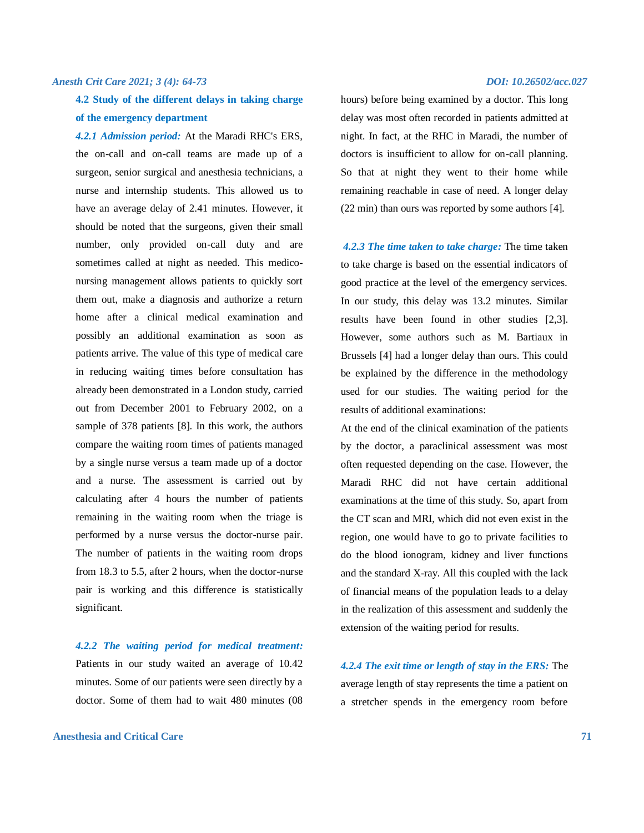## **4.2 Study of the different delays in taking charge of the emergency department**

*4.2.1 Admission period:* At the Maradi RHC's ERS, the on-call and on-call teams are made up of a surgeon, senior surgical and anesthesia technicians, a nurse and internship students. This allowed us to have an average delay of 2.41 minutes. However, it should be noted that the surgeons, given their small number, only provided on-call duty and are sometimes called at night as needed. This mediconursing management allows patients to quickly sort them out, make a diagnosis and authorize a return home after a clinical medical examination and possibly an additional examination as soon as patients arrive. The value of this type of medical care in reducing waiting times before consultation has already been demonstrated in a London study, carried out from December 2001 to February 2002, on a sample of 378 patients [8]. In this work, the authors compare the waiting room times of patients managed by a single nurse versus a team made up of a doctor and a nurse. The assessment is carried out by calculating after 4 hours the number of patients remaining in the waiting room when the triage is performed by a nurse versus the doctor-nurse pair. The number of patients in the waiting room drops from 18.3 to 5.5, after 2 hours, when the doctor-nurse pair is working and this difference is statistically significant.

*4.2.2 The waiting period for medical treatment:* Patients in our study waited an average of 10.42 minutes. Some of our patients were seen directly by a doctor. Some of them had to wait 480 minutes (08

#### **Anesthesia and Critical Care 71**

hours) before being examined by a doctor. This long delay was most often recorded in patients admitted at night. In fact, at the RHC in Maradi, the number of doctors is insufficient to allow for on-call planning. So that at night they went to their home while remaining reachable in case of need. A longer delay (22 min) than ours was reported by some authors [4].

*4.2.3 The time taken to take charge:* The time taken to take charge is based on the essential indicators of good practice at the level of the emergency services. In our study, this delay was 13.2 minutes. Similar results have been found in other studies [2,3]. However, some authors such as M. Bartiaux in Brussels [4] had a longer delay than ours. This could be explained by the difference in the methodology used for our studies. The waiting period for the results of additional examinations:

At the end of the clinical examination of the patients by the doctor, a paraclinical assessment was most often requested depending on the case. However, the Maradi RHC did not have certain additional examinations at the time of this study. So, apart from the CT scan and MRI, which did not even exist in the region, one would have to go to private facilities to do the blood ionogram, kidney and liver functions and the standard X-ray. All this coupled with the lack of financial means of the population leads to a delay in the realization of this assessment and suddenly the extension of the waiting period for results.

*4.2.4 The exit time or length of stay in the ERS:* The average length of stay represents the time a patient on a stretcher spends in the emergency room before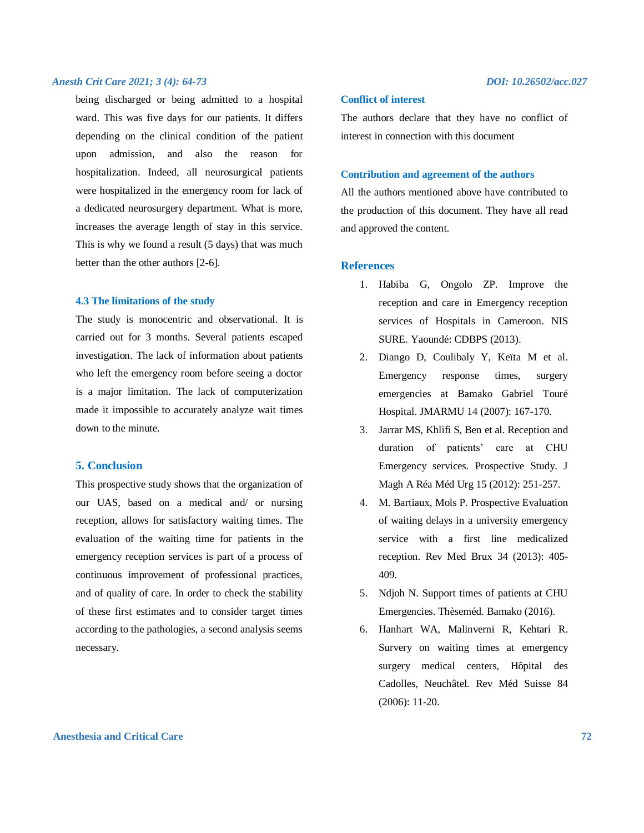being discharged or being admitted to a hospital ward. This was five days for our patients. It differs depending on the clinical condition of the patient upon admission, and also the reason for hospitalization. Indeed, all neurosurgical patients were hospitalized in the emergency room for lack of a dedicated neurosurgery department. What is more, increases the average length of stay in this service. This is why we found a result (5 days) that was much better than the other authors [2-6].

#### **4.3 The limitations of the study**

The study is monocentric and observational. It is carried out for 3 months. Several patients escaped investigation. The lack of information about patients who left the emergency room before seeing a doctor is a major limitation. The lack of computerization made it impossible to accurately analyze wait times down to the minute.

#### **5. Conclusion**

This prospective study shows that the organization of our UAS, based on a medical and/ or nursing reception, allows for satisfactory waiting times. The evaluation of the waiting time for patients in the emergency reception services is part of a process of continuous improvement of professional practices, and of quality of care. In order to check the stability of these first estimates and to consider target times according to the pathologies, a second analysis seems necessary.

#### **Conflict of interest**

The authors declare that they have no conflict of interest in connection with this document

#### **Contribution and agreement of the authors**

All the authors mentioned above have contributed to the production of this document. They have all read and approved the content.

### **References**

- 1. Habiba G, Ongolo ZP. Improve the reception and care in Emergency reception services of Hospitals in Cameroon. NIS SURE. Yaoundé: CDBPS (2013).
- 2. Diango D, Coulibaly Y, Keïta M et al. Emergency response times, surgery emergencies at Bamako Gabriel Touré Hospital. JMARMU 14 (2007): 167-170.
- 3. Jarrar MS, Khlifi S, Ben et al. Reception and duration of patients' care at CHU Emergency services. Prospective Study. J Magh A Réa Méd Urg 15 (2012): 251-257.
- 4. M. Bartiaux, Mols P. Prospective Evaluation of waiting delays in a university emergency service with a first line medicalized reception. Rev Med Brux 34 (2013): 405- 409.
- 5. Ndjoh N. Support times of patients at CHU Emergencies. Thèseméd. Bamako (2016).
- 6. Hanhart WA, Malinverni R, Kehtari R. Survery on waiting times at emergency surgery medical centers, Hôpital des Cadolles, Neuchâtel. Rev Méd Suisse 84 (2006): 11-20.